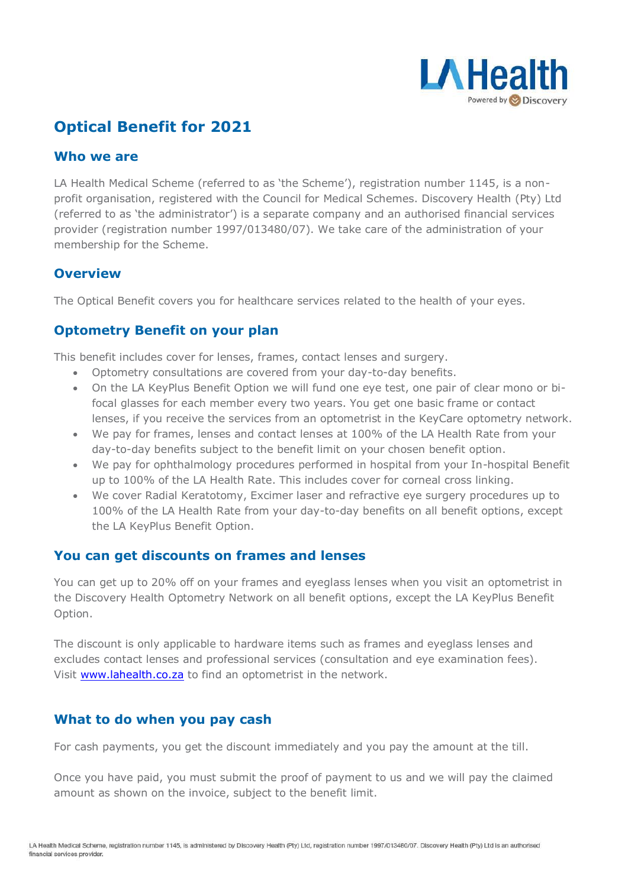

# **Optical Benefit for 2021**

#### **Who we are**

LA Health Medical Scheme (referred to as 'the Scheme'), registration number 1145, is a nonprofit organisation, registered with the Council for Medical Schemes. Discovery Health (Pty) Ltd (referred to as 'the administrator') is a separate company and an authorised financial services provider (registration number 1997/013480/07). We take care of the administration of your membership for the Scheme.

#### **Overview**

The Optical Benefit covers you for healthcare services related to the health of your eyes.

## **Optometry Benefit on your plan**

This benefit includes cover for lenses, frames, contact lenses and surgery.

- Optometry consultations are covered from your day-to-day benefits.
- On the LA KeyPlus Benefit Option we will fund one eye test, one pair of clear mono or bifocal glasses for each member every two years. You get one basic frame or contact lenses, if you receive the services from an optometrist in the KeyCare optometry network.
- We pay for frames, lenses and contact lenses at 100% of the LA Health Rate from your day-to-day benefits subject to the benefit limit on your chosen benefit option.
- We pay for ophthalmology procedures performed in hospital from your In-hospital Benefit up to 100% of the LA Health Rate. This includes cover for corneal cross linking.
- We cover Radial Keratotomy, Excimer laser and refractive eye surgery procedures up to 100% of the LA Health Rate from your day-to-day benefits on all benefit options, except the LA KeyPlus Benefit Option.

## **You can get discounts on frames and lenses**

You can get up to 20% off on your frames and eyeglass lenses when you visit an optometrist in the Discovery Health Optometry Network on all benefit options, except the LA KeyPlus Benefit Option.

The discount is only applicable to hardware items such as frames and eyeglass lenses and excludes contact lenses and professional services (consultation and eye examination fees). Visit [www.lahealth.co.za](http://www.lahealth.co.za/) to find an optometrist in the network.

## **What to do when you pay cash**

For cash payments, you get the discount immediately and you pay the amount at the till.

Once you have paid, you must submit the proof of payment to us and we will pay the claimed amount as shown on the invoice, subject to the benefit limit.